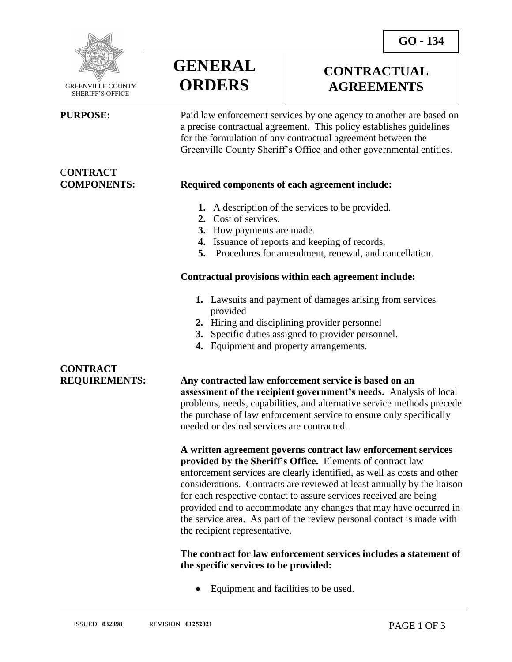

 GREENVILLE COUNTY SHERIFF'S OFFICE

# C**ONTRACT**



### **CONTRACTUAL AGREEMENTS**

**PURPOSE:** Paid law enforcement services by one agency to another are based on a precise contractual agreement. This policy establishes guidelines for the formulation of any contractual agreement between the Greenville County Sheriff's Office and other governmental entities.

### **COMPONENTS: Required components of each agreement include:**

- **1.** A description of the services to be provided.
- **2.** Cost of services.
- **3.** How payments are made.
- **4.** Issuance of reports and keeping of records.
- **5.** Procedures for amendment, renewal, and cancellation.

#### **Contractual provisions within each agreement include:**

- **1.** Lawsuits and payment of damages arising from services provided
- **2.** Hiring and disciplining provider personnel
- **3.** Specific duties assigned to provider personnel.
- **4.** Equipment and property arrangements.

## **CONTRACT**

**REQUIREMENTS: Any contracted law enforcement service is based on an assessment of the recipient government's needs.** Analysis of local problems, needs, capabilities, and alternative service methods precede the purchase of law enforcement service to ensure only specifically needed or desired services are contracted.

> **A written agreement governs contract law enforcement services provided by the Sheriff's Office.** Elements of contract law enforcement services are clearly identified, as well as costs and other considerations. Contracts are reviewed at least annually by the liaison for each respective contact to assure services received are being provided and to accommodate any changes that may have occurred in the service area. As part of the review personal contact is made with the recipient representative.

### **The contract for law enforcement services includes a statement of the specific services to be provided:**

Equipment and facilities to be used.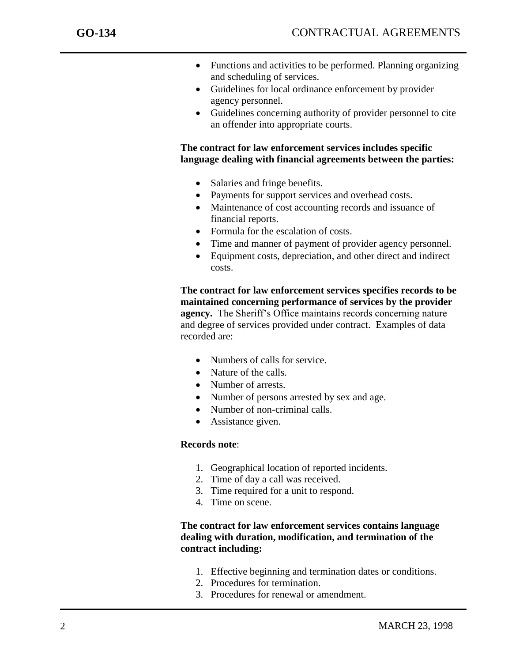- Functions and activities to be performed. Planning organizing and scheduling of services.
- Guidelines for local ordinance enforcement by provider agency personnel.
- Guidelines concerning authority of provider personnel to cite an offender into appropriate courts.

**The contract for law enforcement services includes specific language dealing with financial agreements between the parties:** 

- Salaries and fringe benefits.
- Payments for support services and overhead costs.
- Maintenance of cost accounting records and issuance of financial reports.
- Formula for the escalation of costs.
- Time and manner of payment of provider agency personnel.
- Equipment costs, depreciation, and other direct and indirect costs.

**The contract for law enforcement services specifies records to be maintained concerning performance of services by the provider agency.** The Sheriff's Office maintains records concerning nature and degree of services provided under contract. Examples of data recorded are:

- Numbers of calls for service.
- Nature of the calls.
- Number of arrests.
- Number of persons arrested by sex and age.
- Number of non-criminal calls.
- Assistance given.

#### **Records note**:

- 1. Geographical location of reported incidents.
- 2. Time of day a call was received.
- 3. Time required for a unit to respond.
- 4. Time on scene.

#### **The contract for law enforcement services contains language dealing with duration, modification, and termination of the contract including:**

- 1. Effective beginning and termination dates or conditions.
- 2. Procedures for termination.
- 3. Procedures for renewal or amendment.